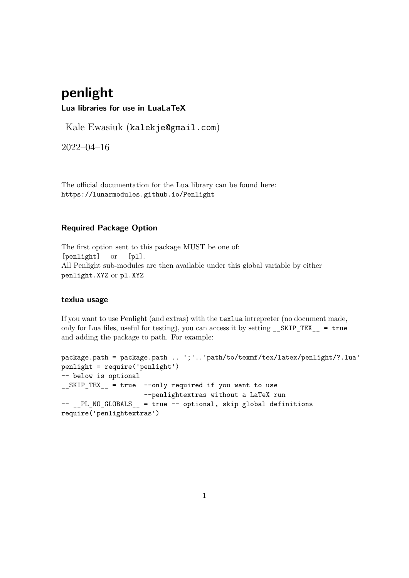# **penlight**

**Lua libraries for use in LuaLaTeX**

Kale Ewasiuk (kalekje@gmail.com)

2022–04–16

The official documentation for the Lua library can be found here: https://lunarmodules.github.io/Penlight

## **Required Package Option**

The first option sent to this package MUST be one of: [penlight] or [pl]. All Penlight sub-modules are then available under this global variable by either penlight.XYZ or pl.XYZ

## **texlua usage**

If you want to use Penlight (and extras) with the texlua intrepreter (no document made, only for Lua files, useful for testing), you can access it by setting \_\_SKIP\_TEX\_\_ = true and adding the package to path. For example:

```
package.path = package.path .. ';'..'path/to/texmf/tex/latex/penlight/?.lua'
penlight = require('penlight')
-- below is optional
__SKIP_TEX__ = true --only required if you want to use
                    --penlightextras without a LaTeX run
-- PL NO GLOBALS = true -- optional, skip global definitions
require('penlightextras')
```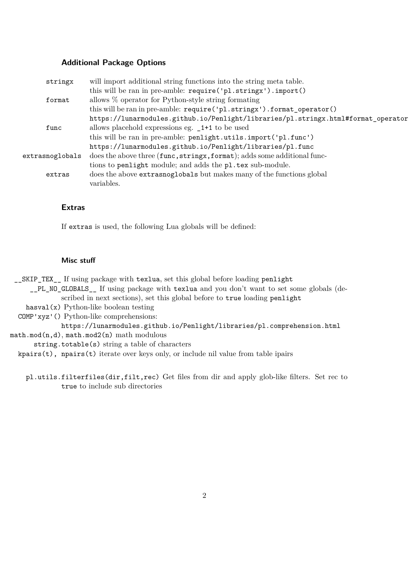#### **Additional Package Options**

| stringx         | will import additional string functions into the string meta table.               |
|-----------------|-----------------------------------------------------------------------------------|
|                 | this will be ran in pre-amble: require('pl.stringx').import()                     |
| format          | allows $\%$ operator for Python-style string formating                            |
|                 | this will be ran in pre-amble: require('pl.stringx').format_operator()            |
|                 | https://lunarmodules.github.io/Penlight/libraries/pl.stringx.html#format_operator |
| func            | allows placehold expressions eg. _1+1 to be used                                  |
|                 | this will be ran in pre-amble: penlight.utils.import('pl.func')                   |
|                 | https://lunarmodules.github.io/Penlight/libraries/pl.func                         |
| extrasnoglobals | does the above three (func, stringx, format); adds some additional func-          |
|                 | tions to penlight module; and adds the pl.tex sub-module.                         |
| extras          | does the above extrasnoglobals but makes many of the functions global             |
|                 | variables.                                                                        |

## **Extras**

If extras is used, the following Lua globals will be defined:

#### **Misc stuff**

\_\_SKIP\_TEX\_\_ If using package with texlua, set this global before loading penlight \_\_PL\_NO\_GLOBALS\_\_ If using package with texlua and you don't want to set some globals (de-

scribed in next sections), set this global before to true loading penlight

hasval $(x)$  Python-like boolean testing

COMP'xyz'() Python-like comprehensions:

https://lunarmodules.github.io/Penlight/libraries/pl.comprehension.html math.mod(n,d), math.mod2(n) math modulous

string.totable(s) string a table of characters

kpairs(t), npairs(t) iterate over keys only, or include nil value from table ipairs

pl.utils.filterfiles(dir,filt,rec) Get files from dir and apply glob-like filters. Set rec to true to include sub directories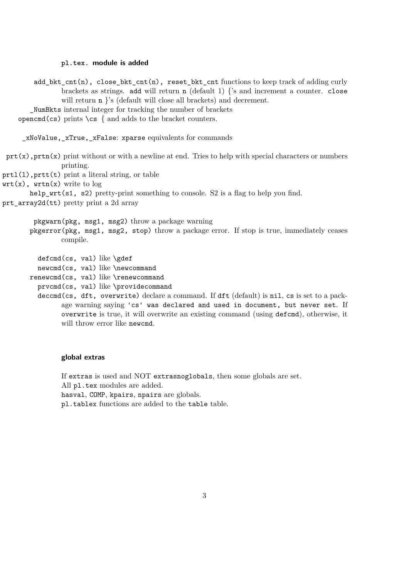#### **pl.tex. module is added**

add\_bkt\_cnt(n), close\_bkt\_cnt(n), reset\_bkt\_cnt functions to keep track of adding curly brackets as strings. add will return  $n$  (default 1)  $\{$ 's and increment a counter. close will return **n** 's (default will close all brackets) and decrement. \_NumBkts internal integer for tracking the number of brackets opencmd(cs) prints  $\csim$  { and adds to the bracket counters. \_xNoValue,\_xTrue,\_xFalse: xparse equivalents for commands  $\text{prt}(x)$ ,  $\text{print}(x)$  print without or with a newline at end. Tries to help with special characters or numbers printing. prtl(l),prtt(t) print a literal string, or table  $urt(x)$ ,  $urtn(x)$  write to  $log$ help  $wrt(s1, s2)$  pretty-print something to console. S2 is a flag to help you find. prt\_array2d(tt) pretty print a 2d array pkgwarn(pkg, msg1, msg2) throw a package warning pkgerror(pkg, msg1, msg2, stop) throw a package error. If stop is true, immediately ceases compile. defcmd(cs, val) like \gdef newcmd(cs, val) like \newcommand renewcmd(cs, val) like \renewcommand prvcmd(cs, val) like \providecommand deccmd(cs, dft, overwrite) declare a command. If dft (default) is nil, cs is set to a pack-

age warning saying 'cs' was declared and used in document, but never set. If overwrite is true, it will overwrite an existing command (using defcmd), otherwise, it will throw error like newcmd.

#### **global extras**

If extras is used and NOT extrasnoglobals, then some globals are set. All pl.tex modules are added. hasval, COMP, kpairs, npairs are globals. pl.tablex functions are added to the table table.